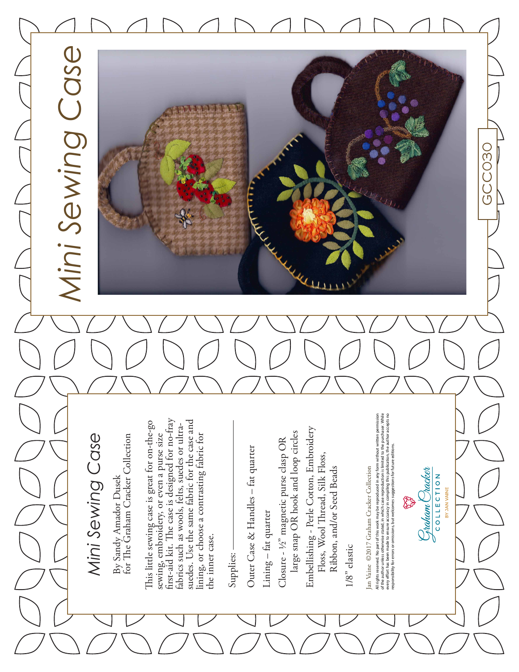# Mini Sewing Case *Mini Sewing Case*

By Sandy Amador Dusek<br>for The Graham Cracker Collection for The Graham Cracker Collection By Sandy Amador Dusek

first-aid kit. The case is designed for no-fray first-aid kit. The case is designed for no-fray suedes. Use the same fabric for the case and This little sewing case is great for on-the-go suedes. Use the same fabric for the case and This little sewing case is great for on-the-go fabrics such as wools, felts, suedes or ultrafabrics such as wools, felts, suedes or ultrasewing, embroidery, or even a purse size sewing, embroidery, or even a purse size lining, or choose a contrasting fabric for lining, or choose a contrasting fabric for the inner case. the inner case.

Supplies:

Outer Case & Handles - fat quarter Outer Case & Handles – fat quarter

Lining - fat quarter Lining – fat quarter

large snap OR hook and loop circles large snap OR hook and loop circles Closure - ½" magnetic purse clasp OR Closure - 1/2" magnetic purse clasp OR

Embellishing - Perle Cotton, Embroidery Embellishing - Perle Cotton, Embroidery Floss, Wool Thread, Silk Floss, Floss, Wool Thread, Silk Floss, Ribbon, and/or Seed Beads Ribbon, and/or Seed Beads

 $1/8$ " elastic 1/8" elastic

Jan Vaine ©2017 Graham Cracker Collection Jan Vaine ©2017 Graham Cracker Collection

All rights reserved. No part of this work may be reproduced in any form without written permission<br>of the author unless otherwise stated, in which case reproduction is limited to the purchaser. While<br>responsibility for err All rights reserved. No part of this work may be reproduced in any form without written permission of the author unless otherwise stated, in which case reproduction is limited to the purchaser. While every effort has been made to ensure accuracy in compiling this publication, the author accepts no responsibility for errors or omissions, but welcomes suggestions for future editions.

C<sub>i</sub>raham Cracker COLLECTION BY JAN VAINE

ender<br>1999

GCC030

GCCC30



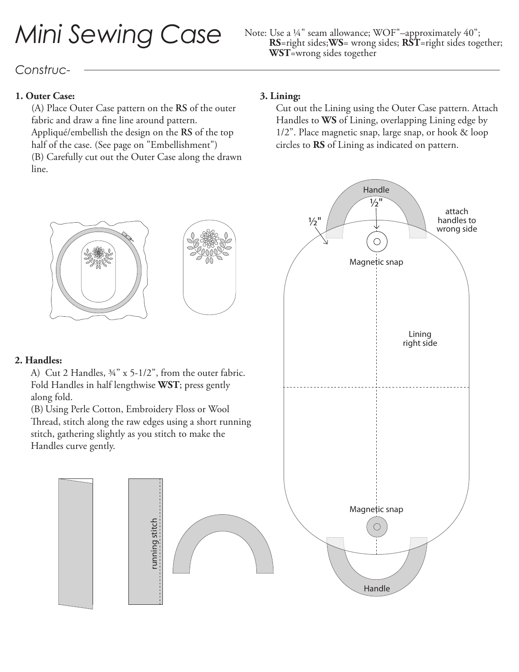# Mini Sewing Case Note: Use a 1/4" seam allowance; WOF"-approximately 40";<br>RS-right sides; WS = wrong sides; RST-right sides tog

## **RS**=right sides;**WS**= wrong sides; **RST**=right sides together; **WST**=wrong sides together

### *Construc-*

#### **1. Outer Case:**

(A) Place Outer Case pattern on the **RS** of the outer fabric and draw a fine line around pattern. Appliqué/embellish the design on the **RS** of the top half of the case. (See page on "Embellishment") (B) Carefully cut out the Outer Case along the drawn line.

#### **3. Lining:**

 $\frac{1}{2}$ "

Cut out the Lining using the Outer Case pattern. Attach Handles to **WS** of Lining, overlapping Lining edge by 1/2". Place magnetic snap, large snap, or hook & loop circles to **RS** of Lining as indicated on pattern.

Handle

 $\frac{1}{2}$ "

Magnetic snap

 $\bigcirc$ 

Lining right side

attach handles to wrong side





#### **2. Handles:**

A) Cut 2 Handles, ¾" x 5-1/2", from the outer fabric. Fold Handles in half lengthwise **WST**; press gently along fold.

(B) Using Perle Cotton, Embroidery Floss or Wool Thread, stitch along the raw edges using a short running stitch, gathering slightly as you stitch to make the Handles curve gently.

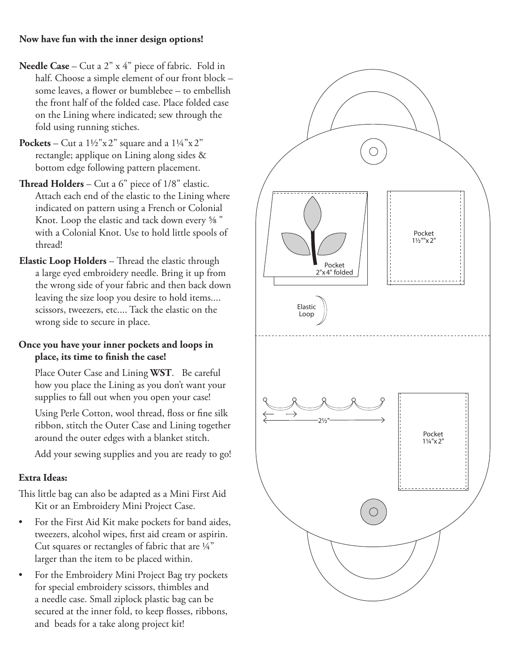- **Needle Case**  Cut a 2" x 4" piece of fabric. Fold in half. Choose a simple element of our front block – some leaves, a flower or bumblebee – to embellish the front half of the folded case. Place folded case on the Lining where indicated; sew through the fold using running stiches.
- **Pockets** Cut a  $1\frac{1}{2}$ "x2" square and a  $1\frac{1}{4}$ "x2" rectangle; applique on Lining along sides & bottom edge following pattern placement.
- **Thread Holders**  Cut a 6" piece of 1/8" elastic. Attach each end of the elastic to the Lining where indicated on pattern using a French or Colonial Knot. Loop the elastic and tack down every ⅝ " with a Colonial Knot. Use to hold little spools of thread!
- **Elastic Loop Holders**  Thread the elastic through a large eyed embroidery needle. Bring it up from the wrong side of your fabric and then back down leaving the size loop you desire to hold items.... scissors, tweezers, etc.... Tack the elastic on the wrong side to secure in place.

#### **Once you have your inner pockets and loops in place, its time to finish the case!**

Place Outer Case and Lining **WST**. Be careful how you place the Lining as you don't want your supplies to fall out when you open your case!

Using Perle Cotton, wool thread, floss or fine silk ribbon, stitch the Outer Case and Lining together around the outer edges with a blanket stitch.

Add your sewing supplies and you are ready to go!

#### **Extra Ideas:**

This little bag can also be adapted as a Mini First Aid Kit or an Embroidery Mini Project Case.

- For the First Aid Kit make pockets for band aides, tweezers, alcohol wipes, first aid cream or aspirin. Cut squares or rectangles of fabric that are ¼" larger than the item to be placed within.
- For the Embroidery Mini Project Bag try pockets for special embroidery scissors, thimbles and a needle case. Small ziplock plastic bag can be secured at the inner fold, to keep flosses, ribbons, and beads for a take along project kit!

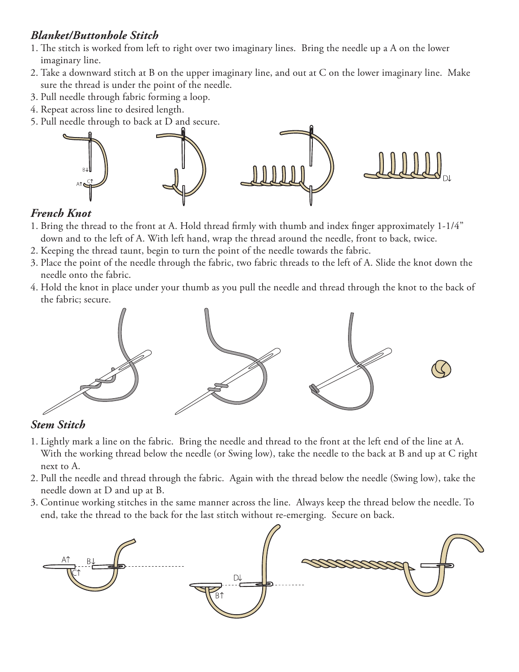#### *Blanket/Buttonhole Stitch*

- 1. The stitch is worked from left to right over two imaginary lines. Bring the needle up a A on the lower imaginary line.
- 2. Take a downward stitch at B on the upper imaginary line, and out at C on the lower imaginary line. Make sure the thread is under the point of the needle.
- 3. Pull needle through fabric forming a loop.
- 4. Repeat across line to desired length.
- 5. Pull needle through to back at D and secure.



#### *French Knot*

- 1. Bring the thread to the front at A. Hold thread firmly with thumb and index finger approximately 1-1/4" down and to the left of A. With left hand, wrap the thread around the needle, front to back, twice.
- 2. Keeping the thread taunt, begin to turn the point of the needle towards the fabric.
- 3. Place the point of the needle through the fabric, two fabric threads to the left of A. Slide the knot down the needle onto the fabric.
- 4. Hold the knot in place under your thumb as you pull the needle and thread through the knot to the back of the fabric; secure.



#### *Stem Stitch*

- 1. Lightly mark a line on the fabric. Bring the needle and thread to the front at the left end of the line at A. With the working thread below the needle (or Swing low), take the needle to the back at B and up at C right next to A.
- 2. Pull the needle and thread through the fabric. Again with the thread below the needle (Swing low), take the needle down at D and up at B.
- 3. Continue working stitches in the same manner across the line. Always keep the thread below the needle. To end, take the thread to the back for the last stitch without re-emerging. Secure on back.

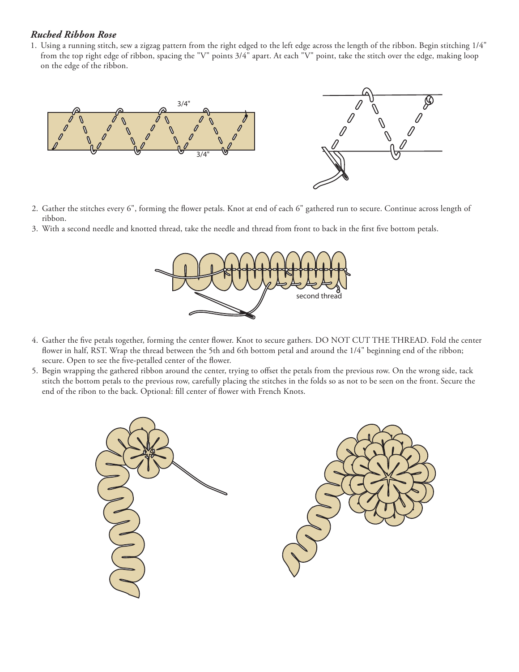#### *Ruched Ribbon Rose*

1. Using a running stitch, sew a zigzag pattern from the right edged to the left edge across the length of the ribbon. Begin stitching 1/4" from the top right edge of ribbon, spacing the "V" points 3/4" apart. At each "V" point, take the stitch over the edge, making loop on the edge of the ribbon.



- 2. Gather the stitches every 6", forming the flower petals. Knot at end of each 6" gathered run to secure. Continue across length of ribbon.
- 3. With a second needle and knotted thread, take the needle and thread from front to back in the first five bottom petals.



- 4. Gather the five petals together, forming the center flower. Knot to secure gathers. DO NOT CUT THE THREAD. Fold the center flower in half, RST. Wrap the thread between the 5th and 6th bottom petal and around the 1/4" beginning end of the ribbon; secure. Open to see the five-petalled center of the flower.
- 5. Begin wrapping the gathered ribbon around the center, trying to offset the petals from the previous row. On the wrong side, tack stitch the bottom petals to the previous row, carefully placing the stitches in the folds so as not to be seen on the front. Secure the end of the ribon to the back. Optional: fill center of flower with French Knots.